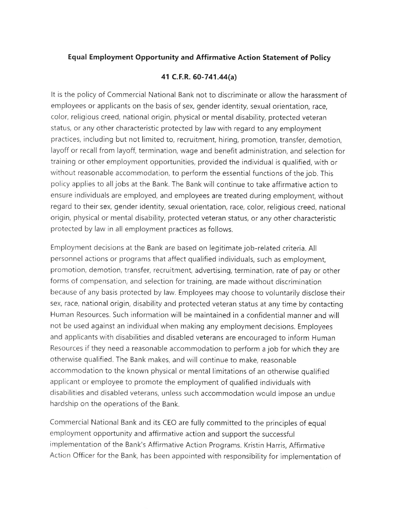## Equal Employment Opportunity and Affirmative Action Statement of Policy

## 41 C.F.R. 6O-741.44(a)

It is the policy of Commercial National Bank not to discriminate or allow the harassment of employees or applicants on the basis of sex, gender identity, sexual orientation, race, color, religious creed, national origin, physical or mental disability, protected veteran status, or any other characteristic protected by law with regard to any employment practices, including but not limited to, recruitment, hiring, promotion, transfer, demotion, layoff or recall from layoff, termination, wage and benefit administration, and selection for training or other employment opportunities, provided the individual is qualified, with or without reasonable accommodation, to perform the essential functions of the job. This policy applies to alljobs at the Bank. The Bank will continue to take affirmative action to ensure individuals are employed, and employees are treated during employment, without regard to their sex, gender identity, sexual orientation, race, color, religious creed, national origin, physical or mental disability, protected veteran status, or any other characteristic protected by law in all employment practices as follows.

Employment decisions at the Bank are based on legitimate job-related criteria. All personnel actions or programs that affect qualified individuals, such as employment, promotion, demotion, transfer, recruitment, advertising, termination, rate of pay or other forms of compensation, and selection for training, are made without discrimination because of any basis protected by law. Employees may choose to voluntarily disclose their sex, race, national origin, disability and protected veteran status at any time by contacting Human Resources. Such information will be maintained in a confidential manner and will not be used against an individual when making any employment decisions. Employees and applicants with disabilities and disabled veterans are encouraged to inform Human Resources if they need a reasonable accommodation to perform a job for which they are otherwise qualified. The Bank makes, and will continue to make, reasonable accommodation to the known physical or mental limitations of an otherwise qualified applicant or employee to promote the employment of qualified individuals with disabilities and disabled veterans, unless such accommodation would impose an undue hardship on the operations of the Bank.

Commercial National Bank and its CEO are fully committed to the principles of equal employment opportunity and affirmative action and support the successful implementation of the Bank's Affirmative Action Programs. Kristin Harris, Affirmative Action officer for the Bank, has been appointed with responsibility for implementation of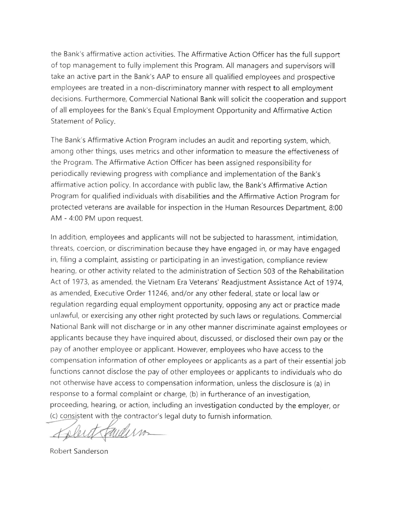the Bank's affirmative action activities. The Affirmative Action Officer has the full support of top management to fully implement this Program. All managers and supervisors will take an active part in the Bank's AAP to ensure all qualified employees and prospective employees are treated in a non-discriminatory manner with respect to all employment decisions. Furthermore, Commercial National Bank will solicit the cooperation and support of all employees for the Bank's Equal Employment Opportunity and Affirmative Action Statement of Policy.

The Bank's Affirmative Action Program includes an audit and reporting system, which, among other things, uses metrics and other information to measure the effectiveness of the Program. The Affirmative Action Officer has been assigned responsibility for periodically reviewing progress with compliance and implementation of the Bank's affirmative action policy. ln accordance with public law, the Bank's Affirmative Action Program for qualified individuals with disabilities and the Affirmative Action Program for protected veterans are available for inspection in the Human Resources Department, 8:00 AM - 4:00 PM upon request.

ln addition, employees and applicants will not be subjected to harassment, intimidation, threats, coercion, or discrimination because they have engaged in, or may have engaged in, filing a complaint, assisting or participating in an investigation, compliance review hearing, or other activity related to the administration of Section 503 of the Rehabilitation Act of 1973, as amended, the Vietnam Era Veterans' Readjustment Assistance Act of 1974, as amended, Executive Order 11246, and/or any other federal, state or local law or regulation regarding equal employment opportunity, opposing any act or practice made unlawful, or exercising any other right protected by such laws or regulations. Commercial National Bank will not discharge or in any other manner discriminate against employees or applicants because they have inquired about, discussed, or disclosed their own pay or the pay of another employee or applicant. However, employees who have access to the compensation information of other employees or applicants as a part of their essential job functions cannot disclose the pay of other employees or applicants to individuals who do not otherwise have access to compensation information, unless the disclosure is (a) in response to a formal complaint or charge, (b) in furtherance of an investigation, proceeding, hearing, or action, including an investigation conducted by the employer, or (c) consistent with the contractor's legal duty to furnish information

 $\overline{\mathcal{A}}$  $\ell$ 

Robert Sanderson